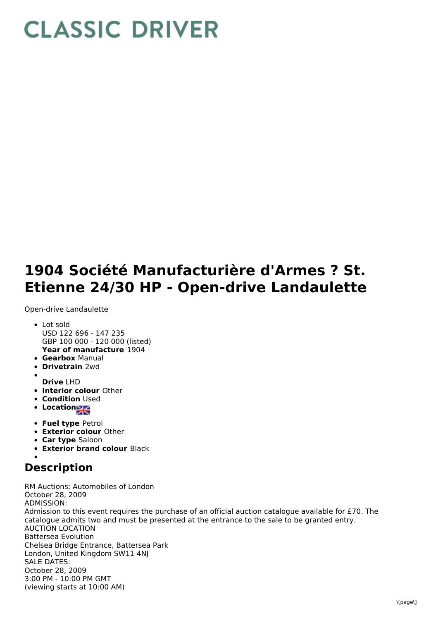## **CLASSIC DRIVER**

## **1904 Société Manufacturière d'Armes ? St. Etienne 24/30 HP - Open-drive Landaulette**

Open-drive Landaulette

- **Year of manufacture** 1904 Lot sold USD 122 696 - 147 235 GBP 100 000 - 120 000 (listed)
- **Gearbox** Manual
- **Drivetrain** 2wd
- **Drive** LHD
- **Interior colour** Other
- **Condition Used**
- **Locations**
- **Fuel type** Petrol
- **Exterior colour** Other
- **Car type** Saloon
- **Exterior brand colour** Black

## **Description**

RM Auctions: Automobiles of London October 28, 2009 ADMISSION: Admission to this event requires the purchase of an official auction catalogue available for £70. The catalogue admits two and must be presented at the entrance to the sale to be granted entry. AUCTION LOCATION Battersea Evolution Chelsea Bridge Entrance, Battersea Park London, United Kingdom SW11 4NJ SALE DATES: October 28, 2009 3:00 PM - 10:00 PM GMT (viewing starts at 10:00 AM)